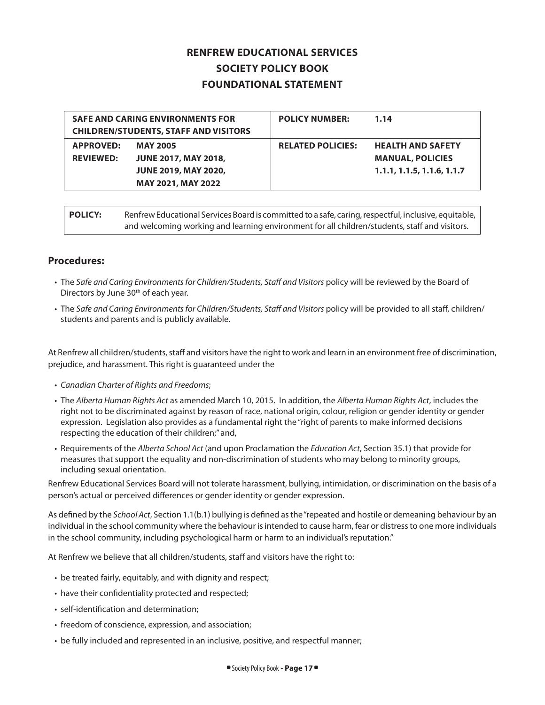## **RENFREW EDUCATIONAL SERVICES SOCIETY POLICY BOOK FOUNDATIONAL STATEMENT**

| <b>SAFE AND CARING ENVIRONMENTS FOR</b><br><b>CHILDREN/STUDENTS, STAFF AND VISITORS</b> |                                                                                                     | <b>POLICY NUMBER:</b>    | 1.14                                                                              |
|-----------------------------------------------------------------------------------------|-----------------------------------------------------------------------------------------------------|--------------------------|-----------------------------------------------------------------------------------|
| <b>APPROVED:</b><br><b>REVIEWED:</b>                                                    | <b>MAY 2005</b><br><b>JUNE 2017, MAY 2018,</b><br><b>JUNE 2019, MAY 2020,</b><br>MAY 2021, MAY 2022 | <b>RELATED POLICIES:</b> | <b>HEALTH AND SAFETY</b><br><b>MANUAL, POLICIES</b><br>1.1.1, 1.1.5, 1.1.6, 1.1.7 |

POLICY: Renfrew Educational Services Board is committed to a safe, caring, respectful, inclusive, equitable, and welcoming working and learning environment for all children/students, staff and visitors.

## **Procedures:**

- The *Safe and Caring Environments for Children/Students, Staff and Visitors* policy will be reviewed by the Board of Directors by June 30<sup>th</sup> of each year.
- The *Safe and Caring Environments for Children/Students, Staff and Visitors* policy will be provided to all staff, children/ students and parents and is publicly available.

At Renfrew all children/students, staff and visitors have the right to work and learn in an environment free of discrimination, prejudice, and harassment. This right is guaranteed under the

- *Canadian Charter of Rights and Freedoms*;
- The *Alberta Human Rights Act* as amended March 10, 2015. In addition, the *Alberta Human Rights Act*, includes the right not to be discriminated against by reason of race, national origin, colour, religion or gender identity or gender expression. Legislation also provides as a fundamental right the "right of parents to make informed decisions respecting the education of their children;" and,
- Requirements of the *Alberta School Act* (and upon Proclamation the *Education Act*, Section 35.1) that provide for measures that support the equality and non-discrimination of students who may belong to minority groups, including sexual orientation.

Renfrew Educational Services Board will not tolerate harassment, bullying, intimidation, or discrimination on the basis of a person's actual or perceived differences or gender identity or gender expression.

As defined by the *School Act*, Section 1.1(b.1) bullying is defined as the "repeated and hostile or demeaning behaviour by an individual in the school community where the behaviour is intended to cause harm, fear or distress to one more individuals in the school community, including psychological harm or harm to an individual's reputation."

At Renfrew we believe that all children/students, staff and visitors have the right to:

- be treated fairly, equitably, and with dignity and respect;
- have their confidentiality protected and respected;
- self-identification and determination;
- freedom of conscience, expression, and association;
- be fully included and represented in an inclusive, positive, and respectful manner;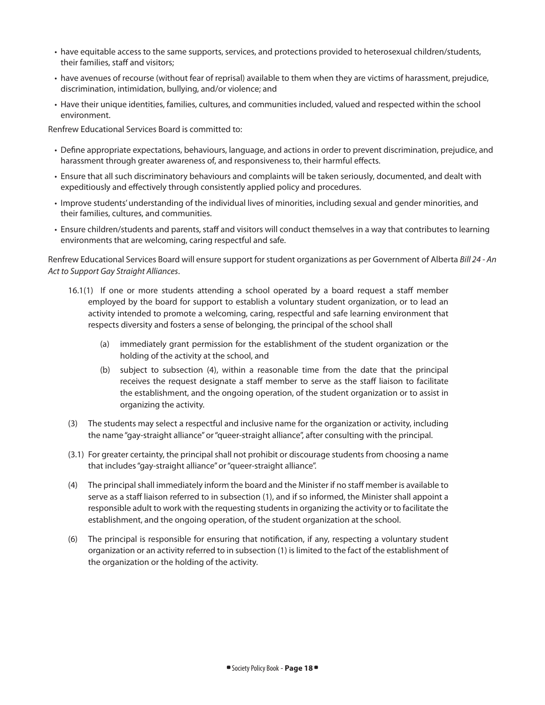- have equitable access to the same supports, services, and protections provided to heterosexual children/students, their families, staff and visitors;
- have avenues of recourse (without fear of reprisal) available to them when they are victims of harassment, prejudice, discrimination, intimidation, bullying, and/or violence; and
- Have their unique identities, families, cultures, and communities included, valued and respected within the school environment.

Renfrew Educational Services Board is committed to:

- Define appropriate expectations, behaviours, language, and actions in order to prevent discrimination, prejudice, and harassment through greater awareness of, and responsiveness to, their harmful effects.
- Ensure that all such discriminatory behaviours and complaints will be taken seriously, documented, and dealt with expeditiously and effectively through consistently applied policy and procedures.
- Improve students' understanding of the individual lives of minorities, including sexual and gender minorities, and their families, cultures, and communities.
- Ensure children/students and parents, staff and visitors will conduct themselves in a way that contributes to learning environments that are welcoming, caring respectful and safe.

Renfrew Educational Services Board will ensure support for student organizations as per Government of Alberta *Bill 24 - An Act to Support Gay Straight Alliances*.

- 16.1(1) If one or more students attending a school operated by a board request a staff member employed by the board for support to establish a voluntary student organization, or to lead an activity intended to promote a welcoming, caring, respectful and safe learning environment that respects diversity and fosters a sense of belonging, the principal of the school shall
	- (a) immediately grant permission for the establishment of the student organization or the holding of the activity at the school, and
	- (b) subject to subsection (4), within a reasonable time from the date that the principal receives the request designate a staff member to serve as the staff liaison to facilitate the establishment, and the ongoing operation, of the student organization or to assist in organizing the activity.
- (3) The students may select a respectful and inclusive name for the organization or activity, including the name "gay-straight alliance" or "queer-straight alliance", after consulting with the principal.
- (3.1) For greater certainty, the principal shall not prohibit or discourage students from choosing a name that includes "gay-straight alliance" or "queer-straight alliance".
- (4) The principal shall immediately inform the board and the Minister if no staff member is available to serve as a staff liaison referred to in subsection (1), and if so informed, the Minister shall appoint a responsible adult to work with the requesting students in organizing the activity or to facilitate the establishment, and the ongoing operation, of the student organization at the school.
- (6) The principal is responsible for ensuring that notification, if any, respecting a voluntary student organization or an activity referred to in subsection (1) is limited to the fact of the establishment of the organization or the holding of the activity.